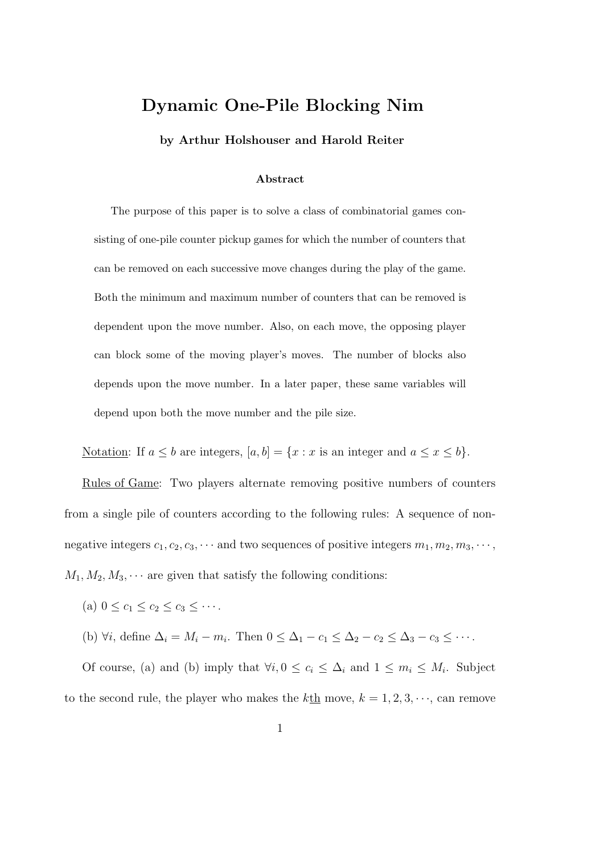## Dynamic One-Pile Blocking Nim

by Arthur Holshouser and Harold Reiter

## Abstract

The purpose of this paper is to solve a class of combinatorial games consisting of one-pile counter pickup games for which the number of counters that can be removed on each successive move changes during the play of the game. Both the minimum and maximum number of counters that can be removed is dependent upon the move number. Also, on each move, the opposing player can block some of the moving player's moves. The number of blocks also depends upon the move number. In a later paper, these same variables will depend upon both the move number and the pile size.

Notation: If  $a \leq b$  are integers,  $[a, b] = \{x : x$  is an integer and  $a \leq x \leq b\}$ .

Rules of Game: Two players alternate removing positive numbers of counters from a single pile of counters according to the following rules: A sequence of nonnegative integers  $c_1, c_2, c_3, \cdots$  and two sequences of positive integers  $m_1, m_2, m_3, \cdots$ ,  $M_1, M_2, M_3, \cdots$  are given that satisfy the following conditions:

(a)  $0 \le c_1 \le c_2 \le c_3 \le \cdots$ .

(b)  $\forall i$ , define  $\Delta_i = M_i - m_i$ . Then  $0 \leq \Delta_1 - c_1 \leq \Delta_2 - c_2 \leq \Delta_3 - c_3 \leq \cdots$ .

Of course, (a) and (b) imply that  $\forall i, 0 \leq c_i \leq \Delta_i$  and  $1 \leq m_i \leq M_i$ . Subject to the second rule, the player who makes the  $k\underline{\text{th}}$  move,  $k = 1, 2, 3, \dots$ , can remove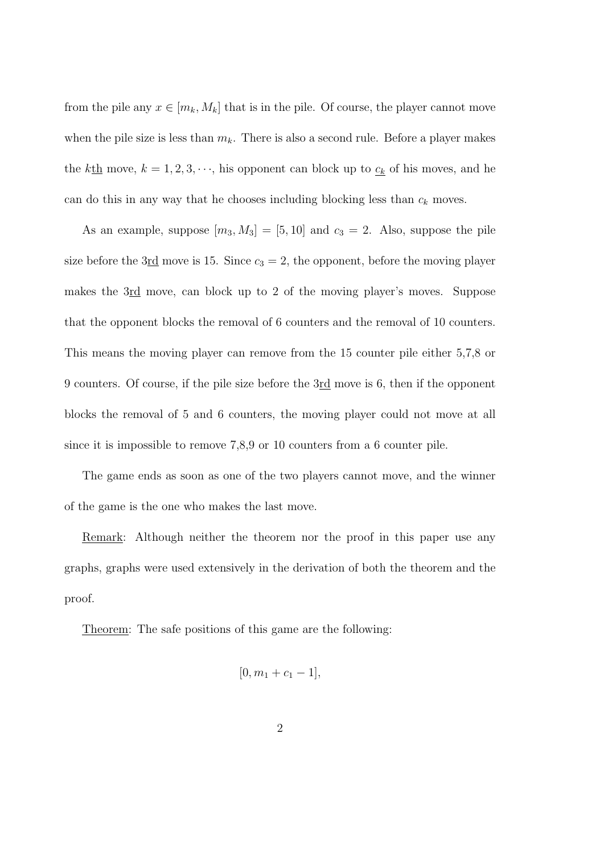from the pile any  $x \in [m_k, M_k]$  that is in the pile. Of course, the player cannot move when the pile size is less than  $m_k$ . There is also a second rule. Before a player makes the  $k\underline{\text{th}}$  move,  $k = 1, 2, 3, \dots$ , his opponent can block up to  $\underline{c_k}$  of his moves, and he can do this in any way that he chooses including blocking less than  $c_k$  moves.

As an example, suppose  $[m_3, M_3] = [5, 10]$  and  $c_3 = 2$ . Also, suppose the pile size before the 3rd move is 15. Since  $c_3 = 2$ , the opponent, before the moving player makes the 3rd move, can block up to 2 of the moving player's moves. Suppose that the opponent blocks the removal of 6 counters and the removal of 10 counters. This means the moving player can remove from the 15 counter pile either 5,7,8 or 9 counters. Of course, if the pile size before the 3rd move is 6, then if the opponent blocks the removal of 5 and 6 counters, the moving player could not move at all since it is impossible to remove 7,8,9 or 10 counters from a 6 counter pile.

The game ends as soon as one of the two players cannot move, and the winner of the game is the one who makes the last move.

Remark: Although neither the theorem nor the proof in this paper use any graphs, graphs were used extensively in the derivation of both the theorem and the proof.

Theorem: The safe positions of this game are the following:

$$
[0, m_1 + c_1 - 1],
$$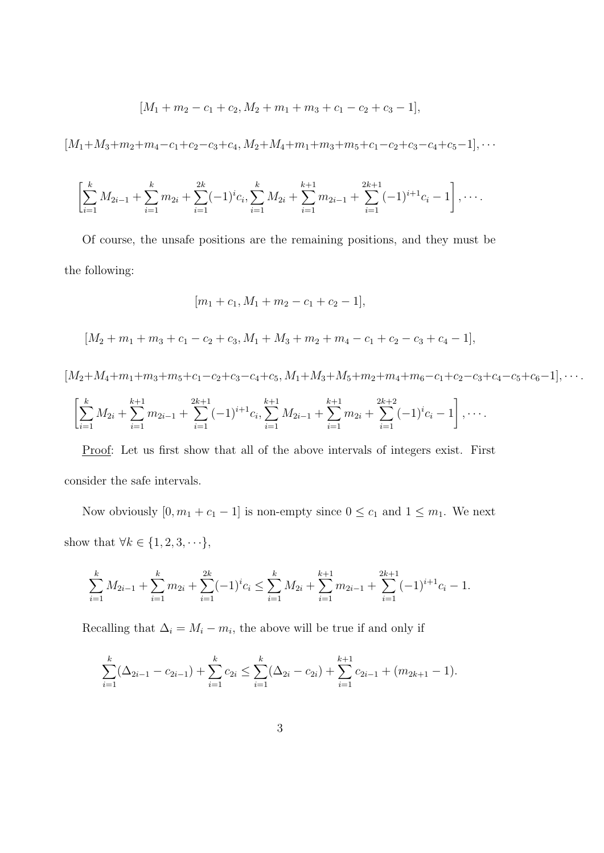$$
[M_1 + m_2 - c_1 + c_2, M_2 + m_1 + m_3 + c_1 - c_2 + c_3 - 1],
$$

$$
[M_1+M_3+m_2+m_4-c_1+c_2-c_3+c_4,M_2+M_4+m_1+m_3+m_5+c_1-c_2+c_3-c_4+c_5-1], \cdots
$$

$$
\left[\sum_{i=1}^k M_{2i-1} + \sum_{i=1}^k m_{2i} + \sum_{i=1}^{2k} (-1)^i c_i, \sum_{i=1}^k M_{2i} + \sum_{i=1}^{k+1} m_{2i-1} + \sum_{i=1}^{2k+1} (-1)^{i+1} c_i - 1\right], \cdots
$$

Of course, the unsafe positions are the remaining positions, and they must be the following:

$$
[m_1 + c_1, M_1 + m_2 - c_1 + c_2 - 1],
$$

 $[M_2 + m_1 + m_3 + c_1 - c_2 + c_3, M_1 + M_3 + m_2 + m_4 - c_1 + c_2 - c_3 + c_4 - 1],$ 

 $[M_2+M_4+m_1+m_3+m_5+c_1-c_2+c_3-c_4+c_5, M_1+M_3+M_5+m_2+m_4+m_6-c_1+c_2-c_3+c_4-c_5+c_6-1], \cdots$ 

$$
\left[\sum_{i=1}^k M_{2i} + \sum_{i=1}^{k+1} m_{2i-1} + \sum_{i=1}^{2k+1} (-1)^{i+1} c_i, \sum_{i=1}^{k+1} M_{2i-1} + \sum_{i=1}^{k+1} m_{2i} + \sum_{i=1}^{2k+2} (-1)^i c_i - 1\right], \cdots
$$

Proof: Let us first show that all of the above intervals of integers exist. First consider the safe intervals.

Now obviously  $[0, m_1 + c_1 - 1]$  is non-empty since  $0 \le c_1$  and  $1 \le m_1$ . We next show that  $\forall k \in \{1, 2, 3, \dots\},\$ 

$$
\sum_{i=1}^{k} M_{2i-1} + \sum_{i=1}^{k} m_{2i} + \sum_{i=1}^{2k} (-1)^{i} c_i \le \sum_{i=1}^{k} M_{2i} + \sum_{i=1}^{k+1} m_{2i-1} + \sum_{i=1}^{2k+1} (-1)^{i+1} c_i - 1.
$$

Recalling that  $\Delta_i = M_i - m_i$ , the above will be true if and only if

$$
\sum_{i=1}^{k} (\Delta_{2i-1} - c_{2i-1}) + \sum_{i=1}^{k} c_{2i} \le \sum_{i=1}^{k} (\Delta_{2i} - c_{2i}) + \sum_{i=1}^{k+1} c_{2i-1} + (m_{2k+1} - 1).
$$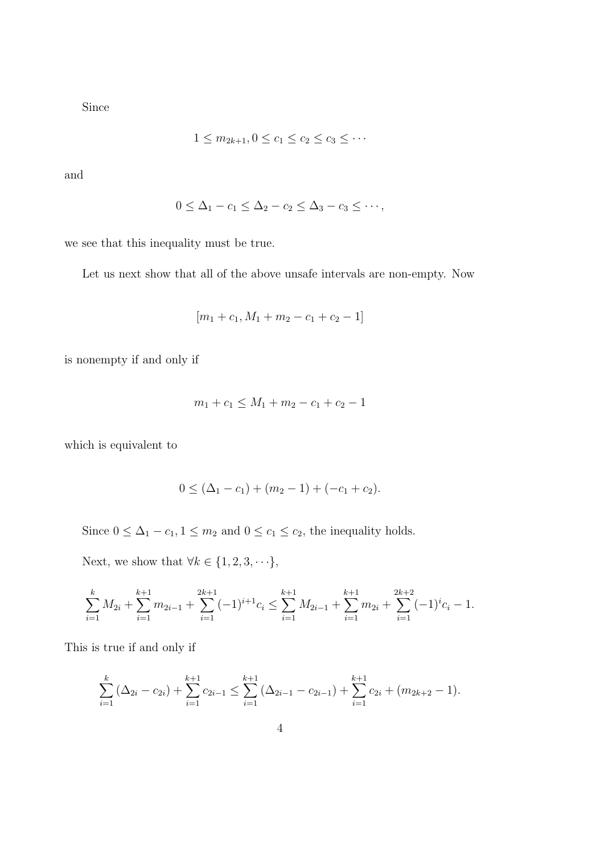Since

$$
1 \leq m_{2k+1}, 0 \leq c_1 \leq c_2 \leq c_3 \leq \cdots
$$

and

$$
0 \leq \Delta_1 - c_1 \leq \Delta_2 - c_2 \leq \Delta_3 - c_3 \leq \cdots,
$$

we see that this inequality must be true.

Let us next show that all of the above unsafe intervals are non-empty. Now

$$
[m_1 + c_1, M_1 + m_2 - c_1 + c_2 - 1]
$$

is nonempty if and only if

$$
m_1 + c_1 \le M_1 + m_2 - c_1 + c_2 - 1
$$

which is equivalent to

$$
0 \leq (\Delta_1 - c_1) + (m_2 - 1) + (-c_1 + c_2).
$$

Since  $0 \leq \Delta_1 - c_1$ ,  $1 \leq m_2$  and  $0 \leq c_1 \leq c_2$ , the inequality holds.

Next, we show that  $\forall k \in \{1, 2, 3, \cdot \cdot \cdot\},\$ 

$$
\sum_{i=1}^k M_{2i} + \sum_{i=1}^{k+1} m_{2i-1} + \sum_{i=1}^{2k+1} (-1)^{i+1} c_i \le \sum_{i=1}^{k+1} M_{2i-1} + \sum_{i=1}^{k+1} m_{2i} + \sum_{i=1}^{2k+2} (-1)^i c_i - 1.
$$

This is true if and only if

$$
\sum_{i=1}^{k} (\Delta_{2i} - c_{2i}) + \sum_{i=1}^{k+1} c_{2i-1} \leq \sum_{i=1}^{k+1} (\Delta_{2i-1} - c_{2i-1}) + \sum_{i=1}^{k+1} c_{2i} + (m_{2k+2} - 1).
$$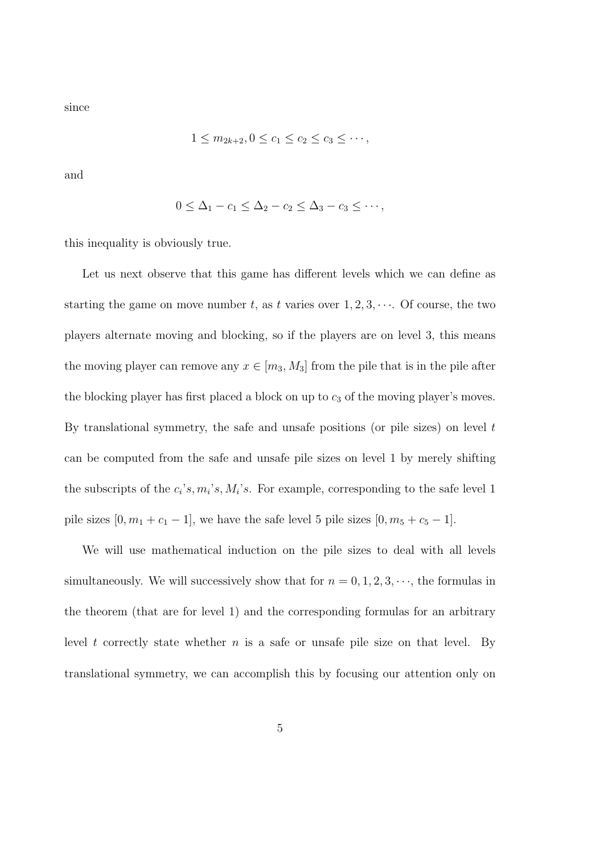since

$$
1 \le m_{2k+2}, 0 \le c_1 \le c_2 \le c_3 \le \cdots,
$$

and

$$
0 \leq \Delta_1 - c_1 \leq \Delta_2 - c_2 \leq \Delta_3 - c_3 \leq \cdots,
$$

this inequality is obviously true.

Let us next observe that this game has different levels which we can define as starting the game on move number t, as t varies over  $1, 2, 3, \cdots$ . Of course, the two players alternate moving and blocking, so if the players are on level 3, this means the moving player can remove any  $x \in [m_3, M_3]$  from the pile that is in the pile after the blocking player has first placed a block on up to  $c_3$  of the moving player's moves. By translational symmetry, the safe and unsafe positions (or pile sizes) on level  $t$ can be computed from the safe and unsafe pile sizes on level 1 by merely shifting the subscripts of the  $c_i$ 's,  $m_i$ 's,  $M_i$ 's. For example, corresponding to the safe level 1 pile sizes  $[0, m_1 + c_1 - 1]$ , we have the safe level 5 pile sizes  $[0, m_5 + c_5 - 1]$ .

We will use mathematical induction on the pile sizes to deal with all levels simultaneously. We will successively show that for  $n = 0, 1, 2, 3, \dots$ , the formulas in the theorem (that are for level 1) and the corresponding formulas for an arbitrary level t correctly state whether  $n$  is a safe or unsafe pile size on that level. By translational symmetry, we can accomplish this by focusing our attention only on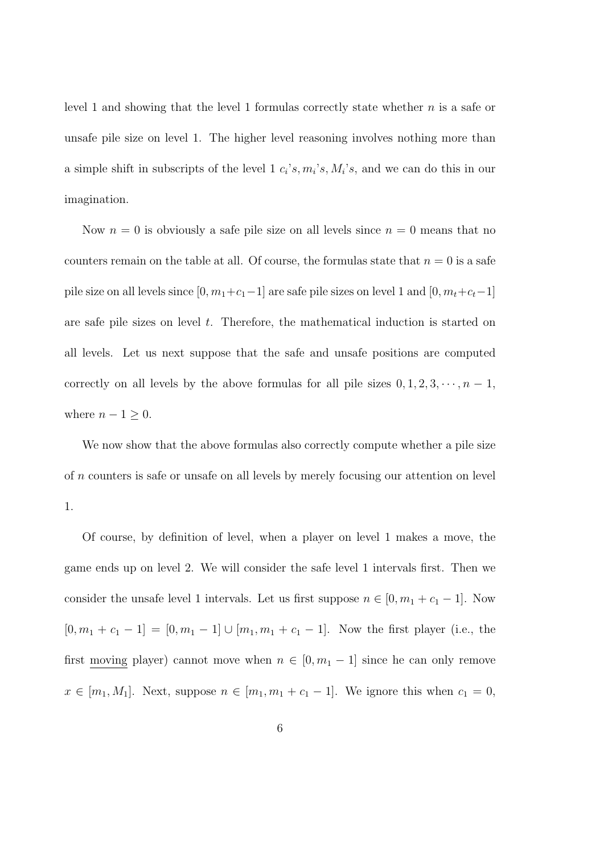level 1 and showing that the level 1 formulas correctly state whether  $n$  is a safe or unsafe pile size on level 1. The higher level reasoning involves nothing more than a simple shift in subscripts of the level  $1 \, c_i \, s, m_i \, s, M_i \, s$ , and we can do this in our imagination.

Now  $n = 0$  is obviously a safe pile size on all levels since  $n = 0$  means that no counters remain on the table at all. Of course, the formulas state that  $n = 0$  is a safe pile size on all levels since  $[0, m_1+c_1-1]$  are safe pile sizes on level 1 and  $[0, m_t+c_t-1]$ are safe pile sizes on level  $t$ . Therefore, the mathematical induction is started on all levels. Let us next suppose that the safe and unsafe positions are computed correctly on all levels by the above formulas for all pile sizes  $0, 1, 2, 3, \dots, n - 1$ , where  $n - 1 \geq 0$ .

We now show that the above formulas also correctly compute whether a pile size of n counters is safe or unsafe on all levels by merely focusing our attention on level 1.

Of course, by definition of level, when a player on level 1 makes a move, the game ends up on level 2. We will consider the safe level 1 intervals first. Then we consider the unsafe level 1 intervals. Let us first suppose  $n \in [0, m_1 + c_1 - 1]$ . Now  $[0, m_1 + c_1 - 1] = [0, m_1 - 1] \cup [m_1, m_1 + c_1 - 1]$ . Now the first player (i.e., the first <u>moving</u> player) cannot move when  $n \in [0, m_1 - 1]$  since he can only remove  $x \in [m_1, M_1]$ . Next, suppose  $n \in [m_1, m_1 + c_1 - 1]$ . We ignore this when  $c_1 = 0$ ,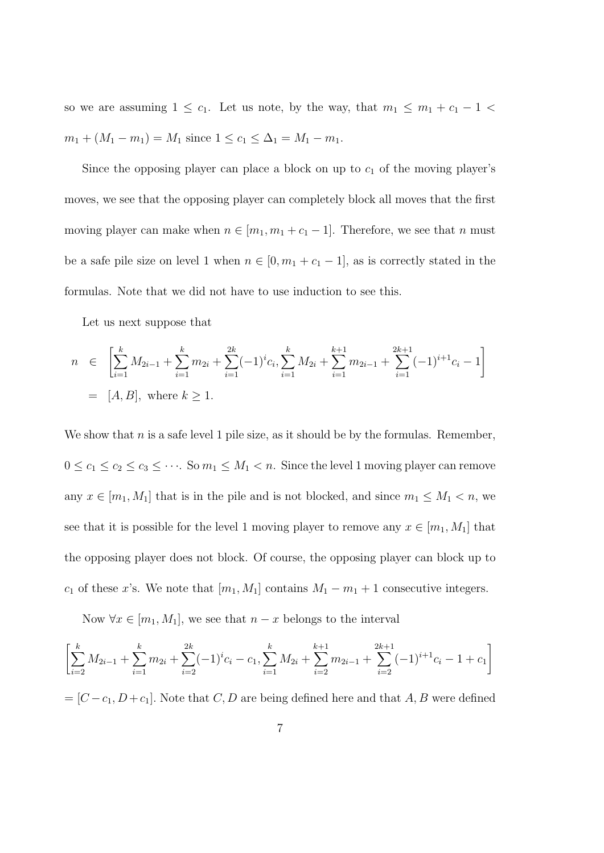so we are assuming  $1 \leq c_1$ . Let us note, by the way, that  $m_1 \leq m_1 + c_1 - 1$  $m_1 + (M_1 - m_1) = M_1$  since  $1 \le c_1 \le \Delta_1 = M_1 - m_1$ .

Since the opposing player can place a block on up to  $c_1$  of the moving player's moves, we see that the opposing player can completely block all moves that the first moving player can make when  $n \in [m_1, m_1 + c_1 - 1]$ . Therefore, we see that n must be a safe pile size on level 1 when  $n \in [0, m_1 + c_1 - 1]$ , as is correctly stated in the formulas. Note that we did not have to use induction to see this.

Let us next suppose that

$$
n \in \left[\sum_{i=1}^{k} M_{2i-1} + \sum_{i=1}^{k} m_{2i} + \sum_{i=1}^{2k} (-1)^{i} c_i, \sum_{i=1}^{k} M_{2i} + \sum_{i=1}^{k+1} m_{2i-1} + \sum_{i=1}^{2k+1} (-1)^{i+1} c_i - 1\right]
$$
  
= [A, B], where  $k \ge 1$ .

We show that  $n$  is a safe level 1 pile size, as it should be by the formulas. Remember,  $0 \le c_1 \le c_2 \le c_3 \le \cdots$ . So  $m_1 \le M_1 < n$ . Since the level 1 moving player can remove any  $x \in [m_1, M_1]$  that is in the pile and is not blocked, and since  $m_1 \leq M_1 < n$ , we see that it is possible for the level 1 moving player to remove any  $x \in [m_1, M_1]$  that the opposing player does not block. Of course, the opposing player can block up to  $c_1$  of these x's. We note that  $[m_1, M_1]$  contains  $M_1 - m_1 + 1$  consecutive integers.

Now  $\forall x \in [m_1, M_1]$ , we see that  $n - x$  belongs to the interval

$$
\left[\sum_{i=2}^{k} M_{2i-1} + \sum_{i=1}^{k} m_{2i} + \sum_{i=2}^{2k} (-1)^{i} c_i - c_1, \sum_{i=1}^{k} M_{2i} + \sum_{i=2}^{k+1} m_{2i-1} + \sum_{i=2}^{2k+1} (-1)^{i+1} c_i - 1 + c_1\right]
$$

 $=[C-c_1, D+c_1]$ . Note that  $C, D$  are being defined here and that  $A, B$  were defined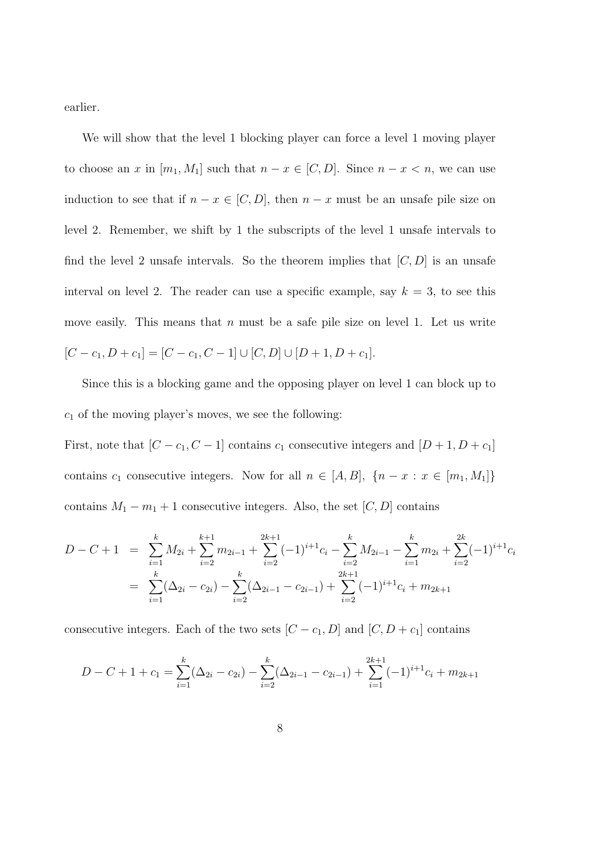earlier.

We will show that the level 1 blocking player can force a level 1 moving player to choose an x in  $[m_1, M_1]$  such that  $n - x \in [C, D]$ . Since  $n - x < n$ , we can use induction to see that if  $n - x \in [C, D]$ , then  $n - x$  must be an unsafe pile size on level 2. Remember, we shift by 1 the subscripts of the level 1 unsafe intervals to find the level 2 unsafe intervals. So the theorem implies that  $[C, D]$  is an unsafe interval on level 2. The reader can use a specific example, say  $k = 3$ , to see this move easily. This means that  $n$  must be a safe pile size on level 1. Let us write  $[C - c_1, D + c_1] = [C - c_1, C - 1] \cup [C, D] \cup [D + 1, D + c_1].$ 

Since this is a blocking game and the opposing player on level 1 can block up to  $c_1$  of the moving player's moves, we see the following:

First, note that  $[C - c_1, C - 1]$  contains  $c_1$  consecutive integers and  $[D + 1, D + c_1]$ contains  $c_1$  consecutive integers. Now for all  $n \in [A, B]$ ,  $\{n - x : x \in [m_1, M_1]\}$ contains  $M_1 - m_1 + 1$  consecutive integers. Also, the set  $[C, D]$  contains

$$
D - C + 1 = \sum_{i=1}^{k} M_{2i} + \sum_{i=2}^{k+1} m_{2i-1} + \sum_{i=2}^{2k+1} (-1)^{i+1} c_i - \sum_{i=2}^{k} M_{2i-1} - \sum_{i=1}^{k} m_{2i} + \sum_{i=2}^{2k} (-1)^{i+1} c_i
$$
  
= 
$$
\sum_{i=1}^{k} (\Delta_{2i} - c_{2i}) - \sum_{i=2}^{k} (\Delta_{2i-1} - c_{2i-1}) + \sum_{i=2}^{2k+1} (-1)^{i+1} c_i + m_{2k+1}
$$

consecutive integers. Each of the two sets  $[C - c_1, D]$  and  $[C, D + c_1]$  contains

$$
D - C + 1 + c_1 = \sum_{i=1}^{k} (\Delta_{2i} - c_{2i}) - \sum_{i=2}^{k} (\Delta_{2i-1} - c_{2i-1}) + \sum_{i=1}^{2k+1} (-1)^{i+1} c_i + m_{2k+1}
$$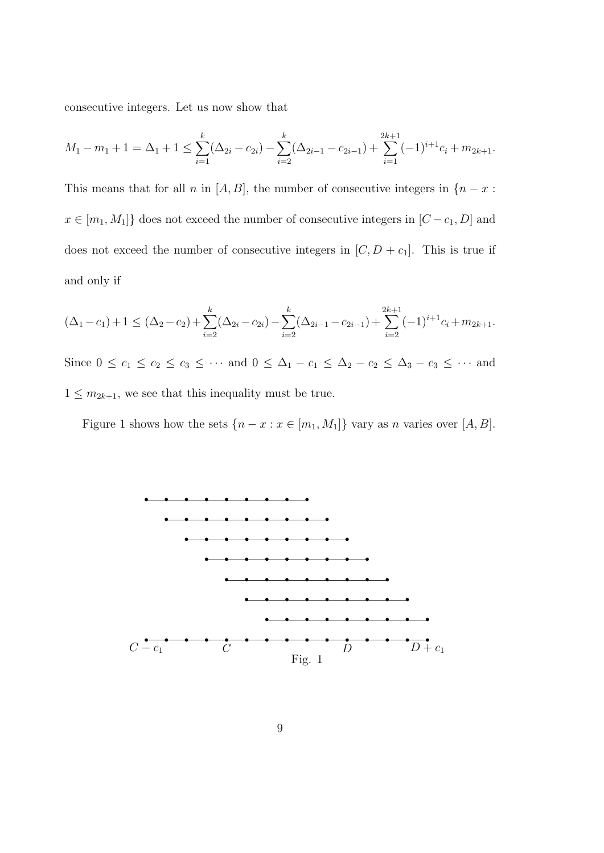consecutive integers. Let us now show that

$$
M_1 - m_1 + 1 = \Delta_1 + 1 \le \sum_{i=1}^k (\Delta_{2i} - c_{2i}) - \sum_{i=2}^k (\Delta_{2i-1} - c_{2i-1}) + \sum_{i=1}^{2k+1} (-1)^{i+1} c_i + m_{2k+1}.
$$

This means that for all n in [A, B], the number of consecutive integers in  $\{n-x:$  $x \in [m_1,M_1]$  does not exceed the number of consecutive integers in  $[C-c_1,D]$  and does not exceed the number of consecutive integers in  $[C, D + c_1]$ . This is true if and only if

$$
(\Delta_1 - c_1) + 1 \le (\Delta_2 - c_2) + \sum_{i=2}^k (\Delta_{2i} - c_{2i}) - \sum_{i=2}^k (\Delta_{2i-1} - c_{2i-1}) + \sum_{i=2}^{2k+1} (-1)^{i+1} c_i + m_{2k+1}.
$$
  
Since  $0 \le c_1 \le c_2 \le c_3 \le \cdots$  and  $0 \le \Delta_1 - c_1 \le \Delta_2 - c_2 \le \Delta_3 - c_3 \le \cdots$  and

 $1 \leq m_{2k+1}$ , we see that this inequality must be true.

Figure 1 shows how the sets  $\{n - x : x \in [m_1, M_1]\}$  vary as n varies over  $[A, B]$ .

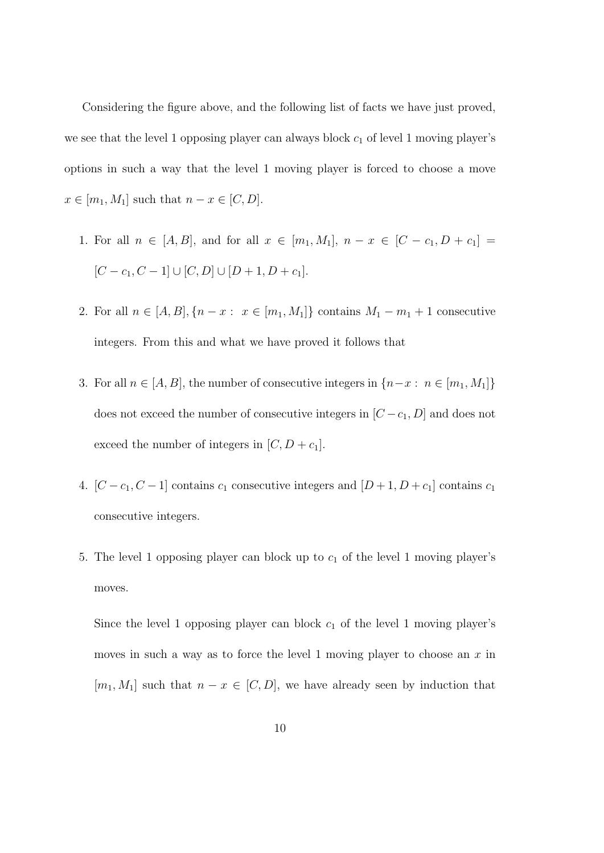Considering the figure above, and the following list of facts we have just proved, we see that the level 1 opposing player can always block  $c_1$  of level 1 moving player's options in such a way that the level 1 moving player is forced to choose a move  $x \in [m_1, M_1]$  such that  $n - x \in [C, D]$ .

- 1. For all  $n \in [A, B]$ , and for all  $x \in [m_1, M_1]$ ,  $n x \in [C c_1, D + c_1] =$  $[C - c_1, C - 1] \cup [C, D] \cup [D + 1, D + c_1].$
- 2. For all  $n \in [A, B], \{n x : x \in [m_1, M_1]\}$  contains  $M_1 m_1 + 1$  consecutive integers. From this and what we have proved it follows that
- 3. For all  $n \in [A, B]$ , the number of consecutive integers in  $\{n-x : n \in [m_1, M_1]\}$ does not exceed the number of consecutive integers in  $[C - c_1, D]$  and does not exceed the number of integers in  $[C, D + c_1]$ .
- 4.  $[C c_1, C 1]$  contains  $c_1$  consecutive integers and  $[D + 1, D + c_1]$  contains  $c_1$ consecutive integers.
- 5. The level 1 opposing player can block up to  $c_1$  of the level 1 moving player's moves.

Since the level 1 opposing player can block  $c_1$  of the level 1 moving player's moves in such a way as to force the level 1 moving player to choose an  $x$  in  $[m_1, M_1]$  such that  $n - x \in [C, D]$ , we have already seen by induction that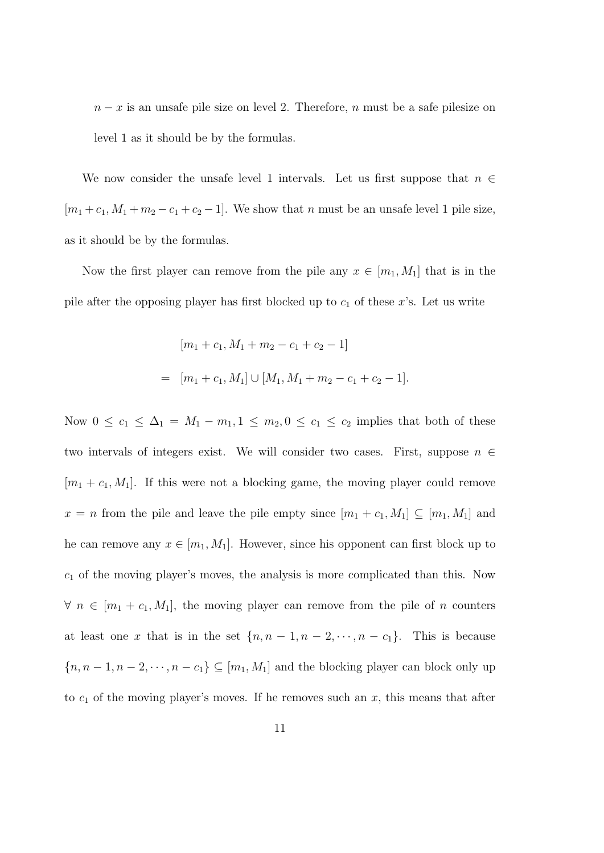$n - x$  is an unsafe pile size on level 2. Therefore, n must be a safe pilesize on level 1 as it should be by the formulas.

We now consider the unsafe level 1 intervals. Let us first suppose that  $n \in \mathbb{Z}$  $[m_1 + c_1, M_1 + m_2 - c_1 + c_2 - 1]$ . We show that n must be an unsafe level 1 pile size, as it should be by the formulas.

Now the first player can remove from the pile any  $x \in [m_1, M_1]$  that is in the pile after the opposing player has first blocked up to  $c_1$  of these x's. Let us write

$$
[m_1 + c_1, M_1 + m_2 - c_1 + c_2 - 1]
$$
  
= 
$$
[m_1 + c_1, M_1] \cup [M_1, M_1 + m_2 - c_1 + c_2 - 1].
$$

Now  $0 \le c_1 \le \Delta_1 = M_1 - m_1, 1 \le m_2, 0 \le c_1 \le c_2$  implies that both of these two intervals of integers exist. We will consider two cases. First, suppose  $n \in$  $[m_1 + c_1, M_1]$ . If this were not a blocking game, the moving player could remove  $x = n$  from the pile and leave the pile empty since  $[m_1 + c_1, M_1] \subseteq [m_1, M_1]$  and he can remove any  $x \in [m_1, M_1]$ . However, since his opponent can first block up to  $c_1$  of the moving player's moves, the analysis is more complicated than this. Now  $\forall n \in [m_1 + c_1, M_1]$ , the moving player can remove from the pile of n counters at least one x that is in the set  $\{n, n-1, n-2, \dots, n-c_1\}$ . This is because  ${n, n-1, n-2, \dots, n-c_1} \subseteq [m_1, M_1]$  and the blocking player can block only up to  $c_1$  of the moving player's moves. If he removes such an x, this means that after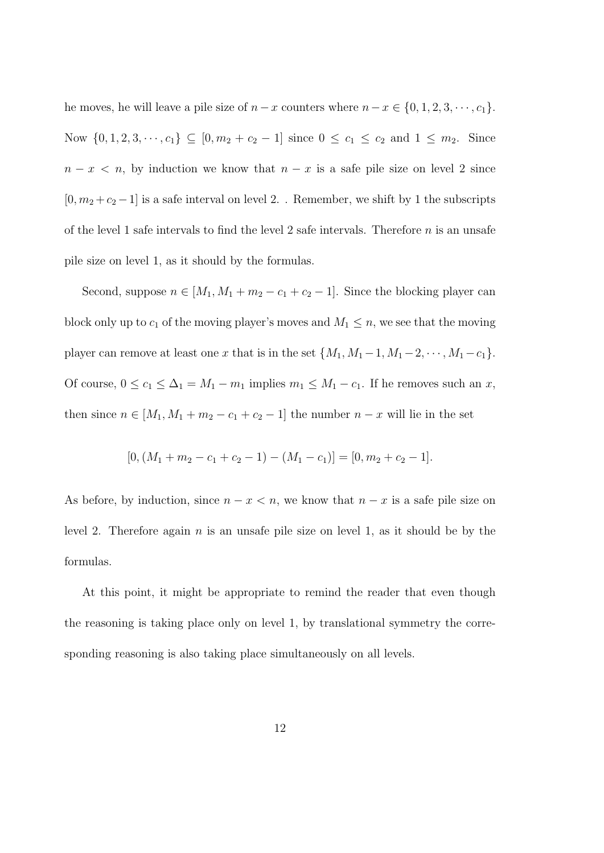he moves, he will leave a pile size of  $n-x$  counters where  $n-x \in \{0, 1, 2, 3, \dots, c_1\}$ . Now  $\{0, 1, 2, 3, \dots, c_1\} \subseteq [0, m_2 + c_2 - 1]$  since  $0 \le c_1 \le c_2$  and  $1 \le m_2$ . Since  $n - x < n$ , by induction we know that  $n - x$  is a safe pile size on level 2 since  $[0, m_2 + c_2 - 1]$  is a safe interval on level  $2.$  . Remember, we shift by  $1$  the subscripts of the level 1 safe intervals to find the level 2 safe intervals. Therefore  $n$  is an unsafe pile size on level 1, as it should by the formulas.

Second, suppose  $n \in [M_1, M_1 + m_2 - c_1 + c_2 - 1]$ . Since the blocking player can block only up to  $c_1$  of the moving player's moves and  $M_1 \leq n$ , we see that the moving player can remove at least one x that is in the set  $\{M_1, M_1-1, M_1-2, \dots, M_1-c_1\}$ . Of course,  $0 \le c_1 \le \Delta_1 = M_1 - m_1$  implies  $m_1 \le M_1 - c_1$ . If he removes such an x, then since  $n \in [M_1, M_1 + m_2 - c_1 + c_2 - 1]$  the number  $n - x$  will lie in the set

$$
[0, (M_1 + m_2 - c_1 + c_2 - 1) - (M_1 - c_1)] = [0, m_2 + c_2 - 1].
$$

As before, by induction, since  $n - x < n$ , we know that  $n - x$  is a safe pile size on level 2. Therefore again  $n$  is an unsafe pile size on level 1, as it should be by the formulas.

At this point, it might be appropriate to remind the reader that even though the reasoning is taking place only on level 1, by translational symmetry the corresponding reasoning is also taking place simultaneously on all levels.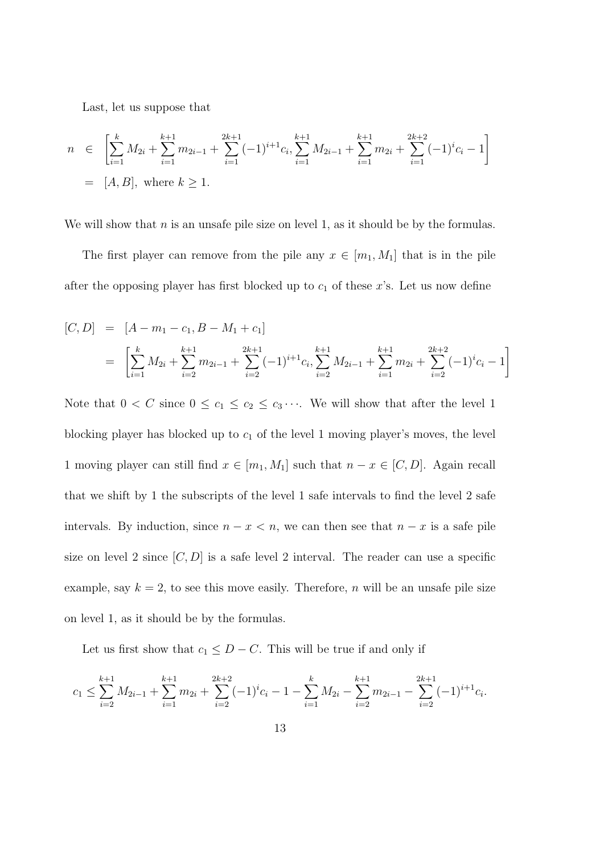Last, let us suppose that

$$
n \in \left[\sum_{i=1}^{k} M_{2i} + \sum_{i=1}^{k+1} m_{2i-1} + \sum_{i=1}^{2k+1} (-1)^{i+1} c_i, \sum_{i=1}^{k+1} M_{2i-1} + \sum_{i=1}^{k+1} m_{2i} + \sum_{i=1}^{2k+2} (-1)^{i} c_i - 1\right]
$$
  
= [A, B], where  $k \ge 1$ .

We will show that  $n$  is an unsafe pile size on level 1, as it should be by the formulas.

The first player can remove from the pile any  $x \in [m_1, M_1]$  that is in the pile after the opposing player has first blocked up to  $c_1$  of these x's. Let us now define

$$
[C, D] = [A - m_1 - c_1, B - M_1 + c_1]
$$
  
= 
$$
\left[ \sum_{i=1}^{k} M_{2i} + \sum_{i=2}^{k+1} m_{2i-1} + \sum_{i=2}^{2k+1} (-1)^{i+1} c_i, \sum_{i=2}^{k+1} M_{2i-1} + \sum_{i=1}^{k+1} m_{2i} + \sum_{i=2}^{2k+2} (-1)^{i} c_i - 1 \right]
$$

Note that  $0 < C$  since  $0 \le c_1 \le c_2 \le c_3 \cdots$ . We will show that after the level 1 blocking player has blocked up to  $c_1$  of the level 1 moving player's moves, the level 1 moving player can still find  $x \in [m_1, M_1]$  such that  $n - x \in [C, D]$ . Again recall that we shift by 1 the subscripts of the level 1 safe intervals to find the level 2 safe intervals. By induction, since  $n - x < n$ , we can then see that  $n - x$  is a safe pile size on level 2 since  $[C, D]$  is a safe level 2 interval. The reader can use a specific example, say  $k = 2$ , to see this move easily. Therefore, n will be an unsafe pile size on level 1, as it should be by the formulas.

Let us first show that  $c_1 \leq D - C$ . This will be true if and only if

$$
c_1 \leq \sum_{i=2}^{k+1} M_{2i-1} + \sum_{i=1}^{k+1} m_{2i} + \sum_{i=2}^{2k+2} (-1)^i c_i - 1 - \sum_{i=1}^k M_{2i} - \sum_{i=2}^{k+1} m_{2i-1} - \sum_{i=2}^{2k+1} (-1)^{i+1} c_i.
$$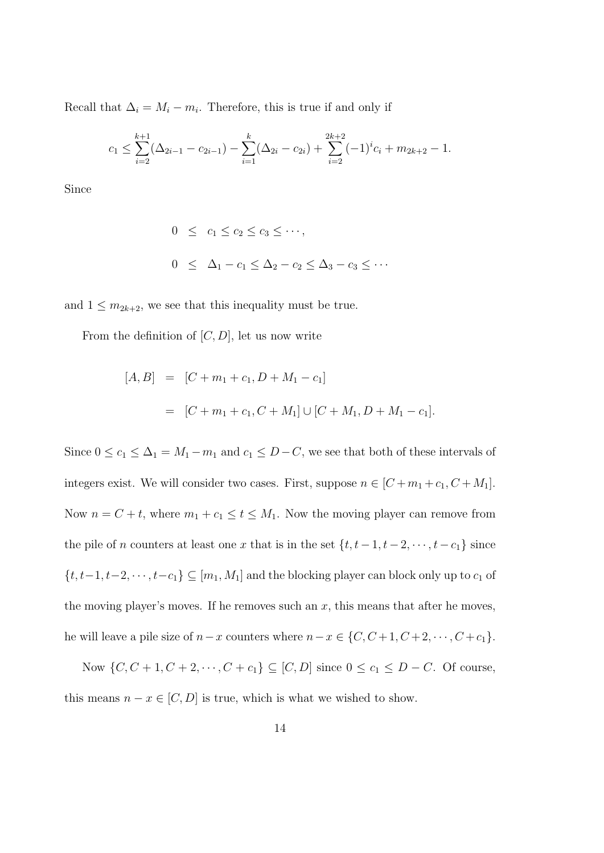Recall that  $\Delta_i = M_i - m_i$ . Therefore, this is true if and only if

$$
c_1 \leq \sum_{i=2}^{k+1} (\Delta_{2i-1} - c_{2i-1}) - \sum_{i=1}^k (\Delta_{2i} - c_{2i}) + \sum_{i=2}^{2k+2} (-1)^i c_i + m_{2k+2} - 1.
$$

Since

$$
0 \le c_1 \le c_2 \le c_3 \le \cdots,
$$
  

$$
0 \le \Delta_1 - c_1 \le \Delta_2 - c_2 \le \Delta_3 - c_3 \le \cdots
$$

and  $1 \leq m_{2k+2}$ , we see that this inequality must be true.

From the definition of  $[C, D]$ , let us now write

$$
[A, B] = [C + m_1 + c_1, D + M_1 - c_1]
$$
  
= [C + m\_1 + c\_1, C + M\_1] \cup [C + M\_1, D + M\_1 - c\_1].

Since  $0 \le c_1 \le \Delta_1 = M_1 - m_1$  and  $c_1 \le D - C$ , we see that both of these intervals of integers exist. We will consider two cases. First, suppose  $n \in [C+m_1+c_1, C+M_1]$ . Now  $n = C + t$ , where  $m_1 + c_1 \le t \le M_1$ . Now the moving player can remove from the pile of n counters at least one x that is in the set  $\{t, t-1, t-2, \dots, t-c_1\}$  since  $\{t, t-1, t-2, \cdots, t-c_1\} \subseteq [m_1, M_1]$  and the blocking player can block only up to  $c_1$  of the moving player's moves. If he removes such an  $x$ , this means that after he moves, he will leave a pile size of  $n-x$  counters where  $n-x \in \{C, C+1, C+2, \cdots, C+c_1\}.$ 

Now {*C*, *C* + 1, *C* + 2, · · · , *C* +  $c_1$ } ⊆ [*C*, *D*] since  $0 ≤ c_1 ≤ D - C$ . Of course, this means  $n - x \in [C, D]$  is true, which is what we wished to show.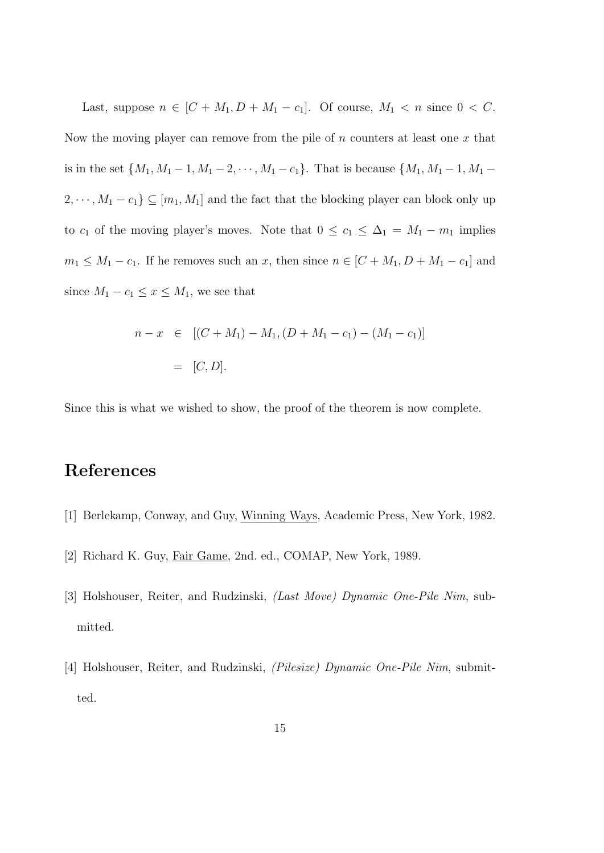Last, suppose  $n \in [C + M_1, D + M_1 - c_1]$ . Of course,  $M_1 < n$  since  $0 < C$ . Now the moving player can remove from the pile of  $n$  counters at least one  $x$  that is in the set  $\{M_1, M_1 - 1, M_1 - 2, \dots, M_1 - c_1\}$ . That is because  $\{M_1, M_1 - 1, M_1 - c_1\}$ .  $2, \dots, M_1 - c_1$ }  $\subseteq [m_1, M_1]$  and the fact that the blocking player can block only up to  $c_1$  of the moving player's moves. Note that  $0 \le c_1 \le \Delta_1 = M_1 - m_1$  implies  $m_1 \leq M_1 - c_1$ . If he removes such an x, then since  $n \in [C + M_1, D + M_1 - c_1]$  and since  $M_1 - c_1 \leq x \leq M_1$ , we see that

$$
n - x \in [(C + M_1) - M_1, (D + M_1 - c_1) - (M_1 - c_1)]
$$
  
= [C, D].

Since this is what we wished to show, the proof of the theorem is now complete.

## References

- [1] Berlekamp, Conway, and Guy, Winning Ways, Academic Press, New York, 1982.
- [2] Richard K. Guy, Fair Game, 2nd. ed., COMAP, New York, 1989.
- [3] Holshouser, Reiter, and Rudzinski, (Last Move) Dynamic One-Pile Nim, submitted.
- [4] Holshouser, Reiter, and Rudzinski, (Pilesize) Dynamic One-Pile Nim, submitted.